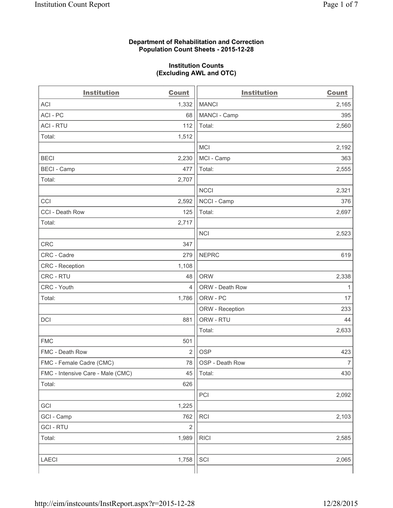## **Department of Rehabilitation and Correction Population Count Sheets - 2015-12-28**

#### **Institution Counts (Excluding AWL and OTC)**

| <b>Institution</b>                | <b>Count</b>   | <b>Institution</b> | <b>Count</b>   |
|-----------------------------------|----------------|--------------------|----------------|
| <b>ACI</b>                        | 1,332          | <b>MANCI</b>       | 2,165          |
| ACI - PC                          | 68             | MANCI - Camp       | 395            |
| <b>ACI - RTU</b>                  | 112            | Total:             | 2,560          |
| Total:                            | 1,512          |                    |                |
|                                   |                | <b>MCI</b>         | 2,192          |
| <b>BECI</b>                       | 2,230          | MCI - Camp         | 363            |
| <b>BECI</b> - Camp                | 477            | Total:             | 2,555          |
| Total:                            | 2,707          |                    |                |
|                                   |                | <b>NCCI</b>        | 2,321          |
| CCI                               | 2,592          | NCCI - Camp        | 376            |
| CCI - Death Row                   | 125            | Total:             | 2,697          |
| Total:                            | 2,717          |                    |                |
|                                   |                | <b>NCI</b>         | 2,523          |
| <b>CRC</b>                        | 347            |                    |                |
| CRC - Cadre                       | 279            | <b>NEPRC</b>       | 619            |
| CRC - Reception                   | 1,108          |                    |                |
| CRC - RTU                         | 48             | <b>ORW</b>         | 2,338          |
| CRC - Youth                       | 4              | ORW - Death Row    | $\mathbf{1}$   |
| Total:                            | 1,786          | ORW - PC           | 17             |
|                                   |                | ORW - Reception    | 233            |
| DCI                               | 881            | ORW - RTU          | 44             |
|                                   |                | Total:             | 2,633          |
| <b>FMC</b>                        | 501            |                    |                |
| FMC - Death Row                   | $\overline{2}$ | <b>OSP</b>         | 423            |
| FMC - Female Cadre (CMC)          | 78             | OSP - Death Row    | $\overline{7}$ |
| FMC - Intensive Care - Male (CMC) | 45             | Total:             | 430            |
| Total:                            | 626            |                    |                |
|                                   |                | PCI                | 2,092          |
| GCI                               | 1,225          |                    |                |
| GCI - Camp                        | 762            | RCI                | 2,103          |
| <b>GCI-RTU</b>                    | $\overline{2}$ |                    |                |
| Total:                            | 1,989          | <b>RICI</b>        | 2,585          |
|                                   |                |                    |                |
| LAECI                             | 1,758          | SCI                | 2,065          |
|                                   |                |                    |                |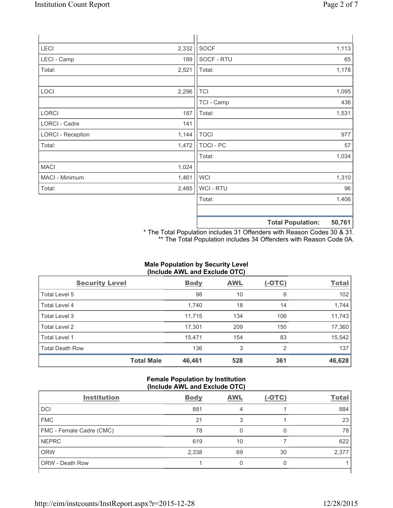| <b>LECI</b>              | 2,332 | <b>SOCF</b>      |                          | 1,113  |
|--------------------------|-------|------------------|--------------------------|--------|
| LECI - Camp              | 189   | SOCF - RTU       |                          | 65     |
| Total:                   | 2,521 | Total:           |                          | 1,178  |
| LOCI                     | 2,296 | <b>TCI</b>       |                          | 1,095  |
|                          |       | TCI - Camp       |                          | 436    |
| LORCI                    | 187   | Total:           |                          | 1,531  |
| LORCI - Cadre            | 141   |                  |                          |        |
| <b>LORCI - Reception</b> | 1,144 | <b>TOCI</b>      |                          | 977    |
| Total:                   | 1,472 | <b>TOCI - PC</b> |                          | 57     |
|                          |       | Total:           |                          | 1,034  |
| <b>MACI</b>              | 1,024 |                  |                          |        |
| MACI - Minimum           | 1,461 | <b>WCI</b>       |                          | 1,310  |
| Total:                   | 2,485 | WCI - RTU        |                          | 96     |
|                          |       | Total:           |                          | 1,406  |
|                          |       |                  | <b>Total Population:</b> | 50,761 |

\* The Total Population includes 31 Offenders with Reason Codes 30 & 31. \*\* The Total Population includes 34 Offenders with Reason Code 0A.

# **Male Population by Security Level (Include AWL and Exclude OTC)**

| <b>Security Level</b>  |                   | <b>Body</b> | <b>AWL</b> | $(-OTC)$       | <b>Total</b> |
|------------------------|-------------------|-------------|------------|----------------|--------------|
| Total Level 5          |                   | 98          | 10         | 6              | 102          |
| <b>Total Level 4</b>   |                   | 1,740       | 18         | 14             | 1,744        |
| Total Level 3          |                   | 11,715      | 134        | 106            | 11,743       |
| Total Level 2          |                   | 17,301      | 209        | 150            | 17,360       |
| <b>Total Level 1</b>   |                   | 15,471      | 154        | 83             | 15,542       |
| <b>Total Death Row</b> |                   | 136         | 3          | $\overline{2}$ | 137          |
|                        | <b>Total Male</b> | 46,461      | 528        | 361            | 46,628       |

# **Female Population by Institution (Include AWL and Exclude OTC)**

| <b>Institution</b>       | <b>Body</b> | <b>AWL</b> | $(-OTC)$ | <b>Total</b> |  |
|--------------------------|-------------|------------|----------|--------------|--|
| <b>DCI</b>               | 881         |            |          | 884          |  |
| <b>FMC</b>               | 21          | 3          |          | 23           |  |
| FMC - Female Cadre (CMC) | 78          |            |          | 78           |  |
| <b>NEPRC</b>             | 619         | 10         |          | 622          |  |
| <b>ORW</b>               | 2,338       | 69         | 30       | 2,377        |  |
| <b>ORW - Death Row</b>   |             | 0          | Ω        |              |  |
|                          |             |            |          |              |  |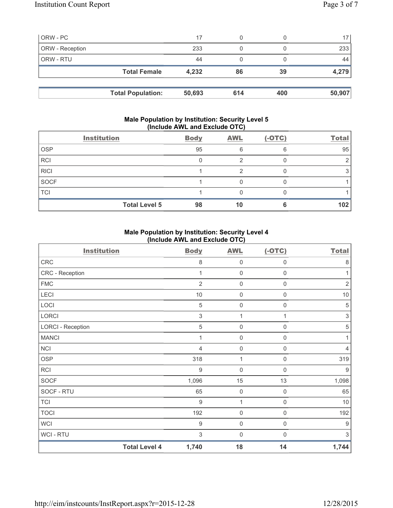| ORW - PC        |                     | 17    | 0  |    | 17    |
|-----------------|---------------------|-------|----|----|-------|
| ORW - Reception |                     | 233   | 0  |    | 233   |
| ORW - RTU       |                     | 44    |    |    | 44    |
|                 | <b>Total Female</b> | 4,232 | 86 | 39 | 4,279 |
|                 |                     |       |    |    |       |
|                 |                     |       |    |    |       |

# **Male Population by Institution: Security Level 5 (Include AWL and Exclude OTC)**

|             | <b>Institution</b>   | <b>Body</b> | <b>AWL</b> | $(-OTC)$ | <b>Total</b> |
|-------------|----------------------|-------------|------------|----------|--------------|
| <b>OSP</b>  |                      | 95          | 6          | 6        | 95           |
| <b>RCI</b>  |                      |             |            |          |              |
| <b>RICI</b> |                      |             |            |          |              |
| <b>SOCF</b> |                      |             |            |          |              |
| <b>TCI</b>  |                      |             |            |          |              |
|             | <b>Total Level 5</b> | 98          | 10         | 6        | 102          |

# **Male Population by Institution: Security Level 4 (Include AWL and Exclude OTC)**

| <b>Institution</b>       |                      | <b>Body</b>      | <b>AWL</b>          | $(-OTC)$            | <b>Total</b> |
|--------------------------|----------------------|------------------|---------------------|---------------------|--------------|
| CRC                      |                      | 8                | $\mathbf 0$         | $\mathsf{0}$        | $\,8\,$      |
| CRC - Reception          |                      | 1                | $\mathbf 0$         | $\mathsf{O}\xspace$ | 1            |
| <b>FMC</b>               |                      | $\overline{2}$   | $\mathbf 0$         | $\mathsf{O}\xspace$ | $\sqrt{2}$   |
| LECI                     |                      | $10$             | $\mathsf{O}\xspace$ | $\mathsf{O}\xspace$ | $10$         |
| LOCI                     |                      | $\,$ 5 $\,$      | $\mathbf 0$         | $\mathsf{0}$        | $\,$ 5 $\,$  |
| LORCI                    |                      | $\sqrt{3}$       | 1                   | 1                   | $\sqrt{3}$   |
| <b>LORCI - Reception</b> |                      | 5                | $\mathbf 0$         | 0                   | $\sqrt{5}$   |
| <b>MANCI</b>             |                      |                  | $\mathbf 0$         | $\boldsymbol{0}$    | 1            |
| <b>NCI</b>               |                      | $\overline{4}$   | $\mathbf 0$         | $\boldsymbol{0}$    | 4            |
| <b>OSP</b>               |                      | 318              | 1                   | $\boldsymbol{0}$    | 319          |
| <b>RCI</b>               |                      | $\boldsymbol{9}$ | 0                   | $\mathbf 0$         | 9            |
| <b>SOCF</b>              |                      | 1,096            | 15                  | 13                  | 1,098        |
| SOCF - RTU               |                      | 65               | $\mathbf 0$         | $\mathbf 0$         | 65           |
| <b>TCI</b>               |                      | 9                | 1                   | $\mathbf 0$         | $10$         |
| <b>TOCI</b>              |                      | 192              | $\mathbf 0$         | $\mathbf 0$         | 192          |
| <b>WCI</b>               |                      | 9                | $\mathbf 0$         | $\mathsf{0}$        | 9            |
| <b>WCI-RTU</b>           |                      | 3                | $\mathbf 0$         | $\mathbf 0$         | 3            |
|                          | <b>Total Level 4</b> | 1,740            | 18                  | 14                  | 1,744        |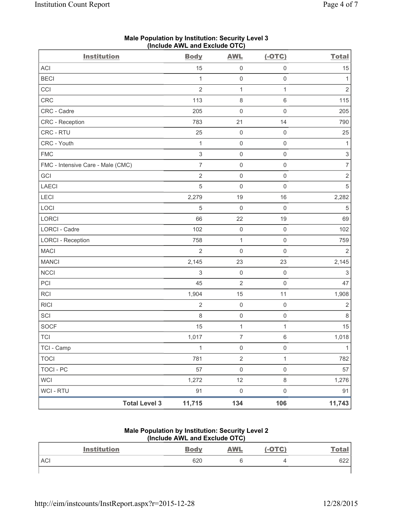| <b>Institution</b>                | <b>Body</b>               | <b>AWL</b>          | $(-OTC)$            | <b>Total</b>              |
|-----------------------------------|---------------------------|---------------------|---------------------|---------------------------|
| ACI                               | 15                        | $\mathsf{O}\xspace$ | $\mathsf 0$         | 15                        |
| <b>BECI</b>                       | 1                         | $\mathsf{O}\xspace$ | $\mathsf 0$         | $\mathbf{1}$              |
| CCI                               | $\overline{2}$            | $\mathbf{1}$        | $\mathbf{1}$        | $\overline{2}$            |
| <b>CRC</b>                        | 113                       | $\,8\,$             | $\,6\,$             | 115                       |
| CRC - Cadre                       | 205                       | $\mathsf{O}\xspace$ | $\mathsf{O}\xspace$ | 205                       |
| CRC - Reception                   | 783                       | 21                  | 14                  | 790                       |
| CRC - RTU                         | 25                        | $\mathbf 0$         | $\mathsf 0$         | 25                        |
| CRC - Youth                       | $\mathbf{1}$              | $\mathsf{O}\xspace$ | $\mathbf 0$         | $\mathbf{1}$              |
| <b>FMC</b>                        | $\ensuremath{\mathsf{3}}$ | $\mathsf{O}\xspace$ | $\mathsf 0$         | $\ensuremath{\mathsf{3}}$ |
| FMC - Intensive Care - Male (CMC) | $\overline{7}$            | $\mathsf{O}\xspace$ | $\mathsf 0$         | $\overline{7}$            |
| GCI                               | $\sqrt{2}$                | $\mathsf{O}\xspace$ | $\mathsf 0$         | $\mathbf 2$               |
| <b>LAECI</b>                      | $\overline{5}$            | $\mathsf{O}\xspace$ | $\mathsf 0$         | 5                         |
| LECI                              | 2,279                     | 19                  | 16                  | 2,282                     |
| LOCI                              | $\sqrt{5}$                | $\mathsf{O}\xspace$ | $\mathsf 0$         | $\,$ 5 $\,$               |
| LORCI                             | 66                        | 22                  | 19                  | 69                        |
| LORCI - Cadre                     | 102                       | $\mathsf{O}\xspace$ | $\mathsf 0$         | 102                       |
| <b>LORCI - Reception</b>          | 758                       | $\mathbf{1}$        | $\mathsf 0$         | 759                       |
| <b>MACI</b>                       | $\overline{2}$            | $\mathsf{O}\xspace$ | $\mathsf 0$         | $\overline{2}$            |
| <b>MANCI</b>                      | 2,145                     | 23                  | 23                  | 2,145                     |
| <b>NCCI</b>                       | $\sqrt{3}$                | $\mathsf{O}\xspace$ | $\mathbf 0$         | $\ensuremath{\mathsf{3}}$ |
| PCI                               | 45                        | $\mathbf 2$         | $\mathsf 0$         | 47                        |
| <b>RCI</b>                        | 1,904                     | 15                  | 11                  | 1,908                     |
| <b>RICI</b>                       | $\overline{2}$            | $\mathsf{O}\xspace$ | $\mathsf 0$         | $\overline{2}$            |
| SCI                               | $\,8\,$                   | $\mathsf{O}\xspace$ | $\mathsf 0$         | $\,8\,$                   |
| <b>SOCF</b>                       | 15                        | $\mathbf 1$         | $\mathbf{1}$        | 15                        |
| <b>TCI</b>                        | 1,017                     | 7                   | $\,6$               | 1,018                     |
| TCI - Camp                        | $\mathbf{1}$              | $\mathsf 0$         | $\mathsf{O}\xspace$ | $\mathbf{1}$              |
| <b>TOCI</b>                       | 781                       | $\overline{2}$      | $\mathbf{1}$        | 782                       |
| <b>TOCI - PC</b>                  | 57                        | $\mathsf{O}\xspace$ | $\mathsf{O}\xspace$ | 57                        |
| <b>WCI</b>                        | 1,272                     | 12                  | $\,8\,$             | 1,276                     |
| WCI - RTU                         | 91                        | $\mathsf{O}\xspace$ | $\mathsf 0$         | 91                        |
| <b>Total Level 3</b>              | 11,715                    | 134                 | 106                 | 11,743                    |

# **Male Population by Institution: Security Level 3 (Include AWL and Exclude OTC)**

#### **Male Population by Institution: Security Level 2 (Include AWL and Exclude OTC)**

| $\frac{1}{2}$ |                    |             |            |          |              |
|---------------|--------------------|-------------|------------|----------|--------------|
|               | <b>Institution</b> | <b>Body</b> | <b>AWL</b> | $(-OTC)$ | <u>Total</u> |
| <b>ACI</b>    |                    | 620         |            |          | 622          |
|               |                    |             |            |          |              |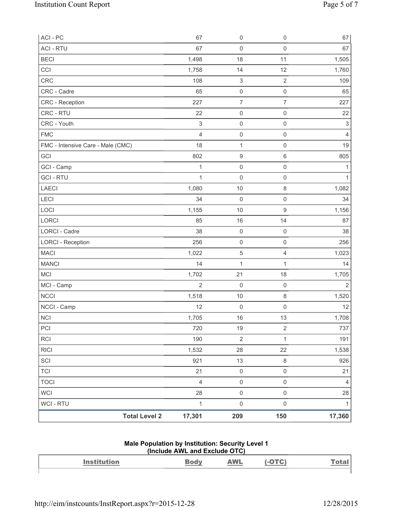| ACI - PC                          | 67             | $\mathsf 0$               | $\mathsf{O}\xspace$ | 67             |
|-----------------------------------|----------------|---------------------------|---------------------|----------------|
| <b>ACI - RTU</b>                  | 67             | $\mathsf 0$               | $\mathsf 0$         | 67             |
| <b>BECI</b>                       | 1,498          | 18                        | 11                  | 1,505          |
| CCI                               | 1,758          | 14                        | 12                  | 1,760          |
| <b>CRC</b>                        | 108            | $\ensuremath{\mathsf{3}}$ | $\overline{2}$      | 109            |
| CRC - Cadre                       | 65             | $\mathsf{O}\xspace$       | $\mathsf{O}\xspace$ | 65             |
| CRC - Reception                   | 227            | $\boldsymbol{7}$          | $\overline{7}$      | 227            |
| CRC - RTU                         | 22             | $\mathsf 0$               | $\mathsf{O}\xspace$ | 22             |
| CRC - Youth                       | $\,$ 3 $\,$    | $\mathsf{O}\xspace$       | $\mathsf{O}\xspace$ | $\sqrt{3}$     |
| <b>FMC</b>                        | $\overline{4}$ | $\mathsf{O}\xspace$       | $\boldsymbol{0}$    | 4              |
| FMC - Intensive Care - Male (CMC) | 18             | $\mathbf{1}$              | $\mathsf{O}\xspace$ | 19             |
| GCI                               | 802            | $\boldsymbol{9}$          | $\,6\,$             | 805            |
| GCI - Camp                        | $\mathbf{1}$   | $\mathsf{O}\xspace$       | $\mathsf{O}\xspace$ | 1              |
| <b>GCI-RTU</b>                    | $\mathbf{1}$   | $\mathbf 0$               | $\mathsf{O}\xspace$ | $\mathbf{1}$   |
| <b>LAECI</b>                      | 1,080          | 10                        | 8                   | 1,082          |
| <b>LECI</b>                       | 34             | $\mathsf 0$               | $\mathsf{O}\xspace$ | 34             |
| LOCI                              | 1,155          | 10                        | $\boldsymbol{9}$    | 1,156          |
| LORCI                             | 85             | 16                        | 14                  | 87             |
| LORCI - Cadre                     | 38             | $\mathsf{O}\xspace$       | $\mathsf{O}\xspace$ | 38             |
| <b>LORCI - Reception</b>          | 256            | $\mathsf{O}\xspace$       | $\boldsymbol{0}$    | 256            |
| <b>MACI</b>                       | 1,022          | $\,$ 5 $\,$               | 4                   | 1,023          |
| <b>MANCI</b>                      | 14             | $\mathbf{1}$              | 1                   | 14             |
| <b>MCI</b>                        | 1,702          | 21                        | 18                  | 1,705          |
| MCI - Camp                        | $\overline{2}$ | $\mathsf{O}\xspace$       | $\mathsf{O}\xspace$ | $\overline{2}$ |
| <b>NCCI</b>                       | 1,518          | 10                        | $\,8\,$             | 1,520          |
| NCCI - Camp                       | 12             | $\mathsf{O}\xspace$       | 0                   | 12             |
| NCI                               | 1,705          | 16                        | 13                  | 1,708          |
| PCI                               | 720            | 19                        | $\sqrt{2}$          | 737            |
| <b>RCI</b>                        | 190            | $\sqrt{2}$                | $\mathbf 1$         | 191            |
| <b>RICI</b>                       | 1,532          | 28                        | 22                  | 1,538          |
| SCI                               | 921            | 13                        | $\,8\,$             | 926            |
| <b>TCI</b>                        | 21             | $\mathbf 0$               | $\mathsf{O}\xspace$ | 21             |
| <b>TOCI</b>                       | $\overline{4}$ | $\mathsf{O}\xspace$       | $\mathsf{O}\xspace$ | 4              |
| WCI                               | 28             | $\mathsf{O}\xspace$       | $\mathsf{O}\xspace$ | 28             |
| WCI - RTU                         | $\mathbf{1}$   | $\mathsf{O}\xspace$       | $\mathsf 0$         | 1              |
| <b>Total Level 2</b>              | 17,301         | 209                       | 150                 | 17,360         |

# **Male Population by Institution: Security Level 1 (Include AWL and Exclude OTC)**

| $\mathbf{A}$ and $\mathbf{A}$<br>--------- | <b><i>MAI</i></b><br>and the contract of the contract of |  |
|--------------------------------------------|----------------------------------------------------------|--|
|                                            |                                                          |  |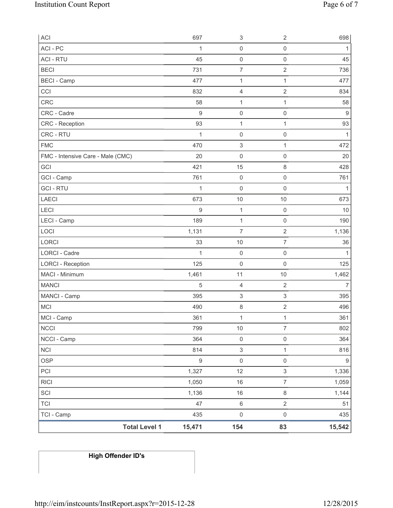| ACI                               | 697              | 3                         | $\overline{2}$            | 698              |
|-----------------------------------|------------------|---------------------------|---------------------------|------------------|
| ACI - PC                          | 1                | $\mathsf{O}\xspace$       | $\mathsf 0$               | 1                |
| <b>ACI - RTU</b>                  | 45               | $\mathsf 0$               | $\mathsf 0$               | 45               |
| <b>BECI</b>                       | 731              | $\overline{7}$            | $\sqrt{2}$                | 736              |
| <b>BECI - Camp</b>                | 477              | 1                         | $\mathbf{1}$              | 477              |
| CCI                               | 832              | 4                         | $\sqrt{2}$                | 834              |
| <b>CRC</b>                        | 58               | $\mathbf{1}$              | 1                         | 58               |
| CRC - Cadre                       | 9                | $\mathsf{O}\xspace$       | $\mathsf 0$               | $9\,$            |
| <b>CRC</b> - Reception            | 93               | 1                         | 1                         | 93               |
| CRC - RTU                         | $\mathbf{1}$     | $\mathsf{O}\xspace$       | $\mathbf 0$               | $\mathbf{1}$     |
| <b>FMC</b>                        | 470              | $\ensuremath{\mathsf{3}}$ | 1                         | 472              |
| FMC - Intensive Care - Male (CMC) | 20               | $\mathbf 0$               | $\mathsf 0$               | 20               |
| GCI                               | 421              | 15                        | $\,8\,$                   | 428              |
| GCI - Camp                        | 761              | $\mathsf{O}\xspace$       | $\mathbf 0$               | 761              |
| <b>GCI-RTU</b>                    | $\mathbf{1}$     | 0                         | $\mathsf 0$               | 1                |
| LAECI                             | 673              | 10                        | $10$                      | 673              |
| LECI                              | 9                | $\mathbf{1}$              | $\mathsf 0$               | 10               |
| LECI - Camp                       | 189              | 1                         | $\mathbf 0$               | 190              |
| LOCI                              | 1,131            | $\overline{7}$            | $\sqrt{2}$                | 1,136            |
| LORCI                             | 33               | 10                        | $\overline{7}$            | 36               |
| LORCI - Cadre                     | 1                | $\mathbf 0$               | $\mathsf 0$               | 1                |
| <b>LORCI - Reception</b>          | 125              | $\mathbf 0$               | $\mathsf 0$               | 125              |
| MACI - Minimum                    | 1,461            | 11                        | $10$                      | 1,462            |
| <b>MANCI</b>                      | $\sqrt{5}$       | 4                         | $\overline{2}$            | $\overline{7}$   |
| MANCI - Camp                      | 395              | $\ensuremath{\mathsf{3}}$ | $\ensuremath{\mathsf{3}}$ | 395              |
| <b>MCI</b>                        | 490              | 8                         | $\sqrt{2}$                | 496              |
| MCI - Camp                        | 361              | $\mathbf 1$               | $\mathbf{1}$              | 361              |
| <b>NCCI</b>                       | 799              | $10$                      | $\overline{7}$            | 802              |
| NCCI - Camp                       | 364              | $\mathsf{O}\xspace$       | $\mathsf{O}\xspace$       | 364              |
| <b>NCI</b>                        | 814              | $\ensuremath{\mathsf{3}}$ | 1                         | 816              |
| <b>OSP</b>                        | $\boldsymbol{9}$ | $\mathsf 0$               | $\mathsf 0$               | $\boldsymbol{9}$ |
| PCI                               | 1,327            | 12                        | 3                         | 1,336            |
| <b>RICI</b>                       | 1,050            | 16                        | $\overline{7}$            | 1,059            |
| SCI                               | 1,136            | 16                        | $\,8\,$                   | 1,144            |
| <b>TCI</b>                        | 47               | $\,6\,$                   | $\sqrt{2}$                | 51               |
| TCI - Camp                        | 435              | $\mathsf{O}\xspace$       | $\mathsf 0$               | 435              |
| <b>Total Level 1</b>              | 15,471           | 154                       | 83                        | 15,542           |

# **High Offender ID's**